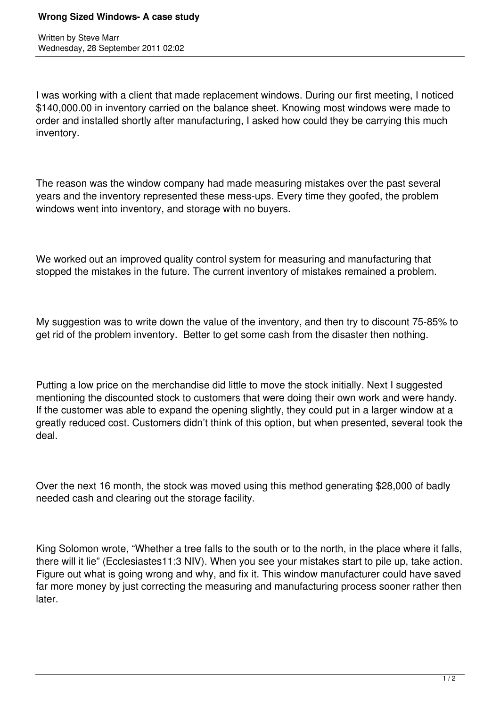Written by Steve Marr Wednesday, 28 September 2011 02:02

I was working with a client that made replacement windows. During our first meeting, I noticed \$140,000.00 in inventory carried on the balance sheet. Knowing most windows were made to order and installed shortly after manufacturing, I asked how could they be carrying this much inventory.

The reason was the window company had made measuring mistakes over the past several years and the inventory represented these mess-ups. Every time they goofed, the problem windows went into inventory, and storage with no buyers.

We worked out an improved quality control system for measuring and manufacturing that stopped the mistakes in the future. The current inventory of mistakes remained a problem.

My suggestion was to write down the value of the inventory, and then try to discount 75-85% to get rid of the problem inventory. Better to get some cash from the disaster then nothing.

Putting a low price on the merchandise did little to move the stock initially. Next I suggested mentioning the discounted stock to customers that were doing their own work and were handy. If the customer was able to expand the opening slightly, they could put in a larger window at a greatly reduced cost. Customers didn't think of this option, but when presented, several took the deal.

Over the next 16 month, the stock was moved using this method generating \$28,000 of badly needed cash and clearing out the storage facility.

King Solomon wrote, "Whether a tree falls to the south or to the north, in the place where it falls, there will it lie" (Ecclesiastes11:3 NIV). When you see your mistakes start to pile up, take action. Figure out what is going wrong and why, and fix it. This window manufacturer could have saved far more money by just correcting the measuring and manufacturing process sooner rather then later.